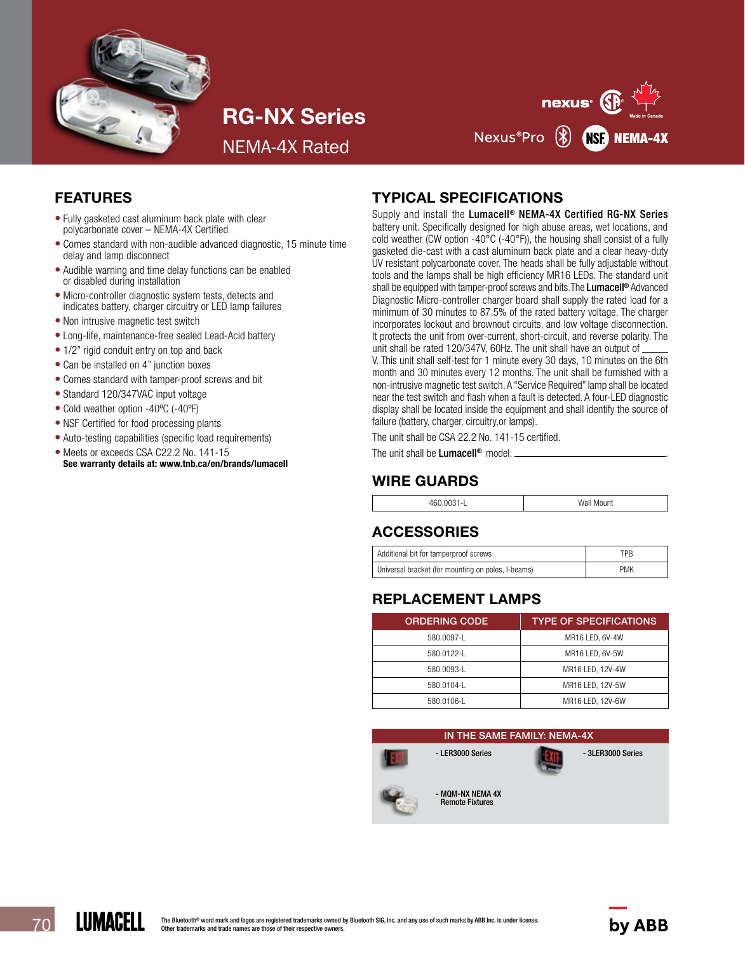

RG-NX Series

NEMA-4X Rated



# FEATURES

- Fully gasketed cast aluminum back plate with clear polycarbonate cover – NEMA-4X Certified
- Comes standard with non-audible advanced diagnostic, 15 minute time delay and lamp disconnect
- Audible warning and time delay functions can be enabled or disabled during installation
- Micro-controller diagnostic system tests, detects and indicates battery, charger circuitry or LED lamp failures
- Non intrusive magnetic test switch
- Long-life, maintenance-free sealed Lead-Acid battery
- 1/2" rigid conduit entry on top and back
- Can be installed on 4" junction boxes
- Comes standard with tamper-proof screws and bit
- Standard 120/347VAC input voltage
- Cold weather option -40ºC (-40ºF)
- NSF Certified for food processing plants
- Auto-testing capabilities (specific load requirements)
- Meets or exceeds CSA C22.2 No. 141-15 See warranty details at: www.tnb.ca/en/brands/lumacell

# TYPICAL SPECIFICATIONS

Supply and install the Lumacell<sup>®</sup> NEMA-4X Certified RG-NX Series battery unit. Specifically designed for high abuse areas, wet locations, and cold weather (CW option -40 $^{\circ}$ C (-40 $^{\circ}$ F)), the housing shall consist of a fully gasketed die-cast with a cast aluminum back plate and a clear heavy-duty UV resistant polycarbonate cover. The heads shall be fully adjustable without tools and the lamps shall be high efficiency MR16 LEDs. The standard unit shall be equipped with tamper-proof screws and bits. The Lumacell<sup>®</sup> Advanced Diagnostic Micro-controller charger board shall supply the rated load for a minimum of 30 minutes to 87.5% of the rated battery voltage. The charger incorporates lockout and brownout circuits, and low voltage disconnection. It protects the unit from over-current, short-circuit, and reverse polarity. The unit shall be rated 120/347V, 60Hz. The unit shall have an output of \_ V. This unit shall self-test for 1 minute every 30 days, 10 minutes on the 6th month and 30 minutes every 12 months. The unit shall be furnished with a non-intrusive magnetic test switch. A "Service Required" lamp shall be located near the test switch and flash when a fault is detected. A four-LED diagnostic display shall be located inside the equipment and shall identify the source of failure (battery, charger, circuitry,or lamps).

The unit shall be CSA 22.2 No. 141-15 certified.

The unit shall be **Lumacell<sup>®</sup>** model: \_

# WIRE GUARDS

| 460.0031<br>Wall Mount<br>-<br>. |
|----------------------------------|
|----------------------------------|

# ACCESSORIES

| Additional bit for tamperproof screws              | TPR        |
|----------------------------------------------------|------------|
| Universal bracket (for mounting on poles, I-beams) | <b>PMK</b> |

# REPLACEMENT LAMPS

| <b>ORDERING CODE</b> | <b>TYPE OF SPECIFICATIONS</b> |
|----------------------|-------------------------------|
| 580.0097-L           | MR16 LED, 6V-4W               |
| 580.0122-1           | MR16 LED, 6V-5W               |
| 580.0093-1           | MR16 LED. 12V-4W              |
| 580.0104-L           | MR16 LED. 12V-5W              |
| 580.0106-L           | MR16 LED, 12V-6W              |

#### IN THE SAME FAMILY: NEMA-4X



- LER3000 Series - 3LER3000 Series



- MQM-NX NEMA 4X Remote Fixtures